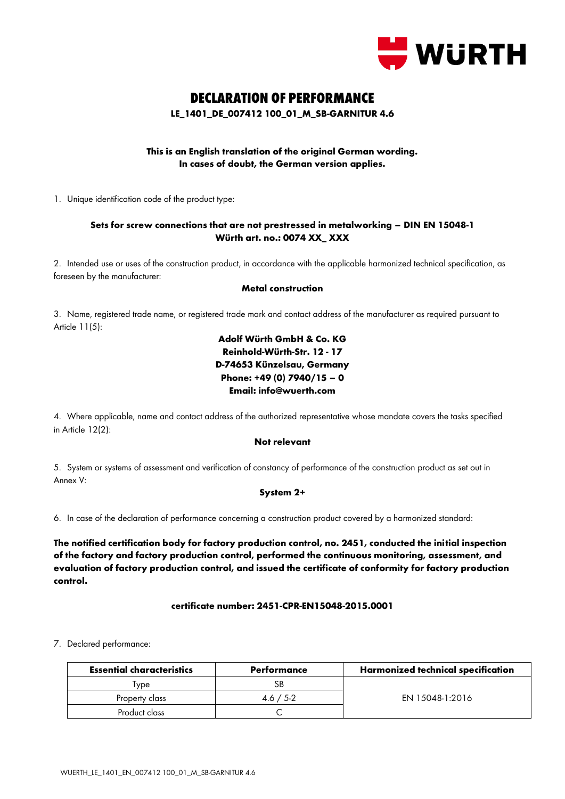

# **DECLARATION OF PERFORMANCE**

**LE\_1401\_DE\_007412 100\_01\_M\_SB-GARNITUR 4.6**

## **This is an English translation of the original German wording. In cases of doubt, the German version applies.**

1. Unique identification code of the product type:

### **Sets for screw connections that are not prestressed in metalworking – DIN EN 15048-1 Würth art. no.: 0074 XX\_ XXX**

2. Intended use or uses of the construction product, in accordance with the applicable harmonized technical specification, as foreseen by the manufacturer:

**Metal construction**

3. Name, registered trade name, or registered trade mark and contact address of the manufacturer as required pursuant to Article 11(5):

> **Adolf Würth GmbH & Co. KG Reinhold-Würth-Str. 12 - 17 D-74653 Künzelsau, Germany Phone: +49 (0) 7940/15 – 0 Email: info@wuerth.com**

4. Where applicable, name and contact address of the authorized representative whose mandate covers the tasks specified in Article 12(2):

#### **Not relevant**

5. System or systems of assessment and verification of constancy of performance of the construction product as set out in Annex V:

#### **System 2+**

6. In case of the declaration of performance concerning a construction product covered by a harmonized standard:

**The notified certification body for factory production control, no. 2451, conducted the initial inspection of the factory and factory production control, performed the continuous monitoring, assessment, and evaluation of factory production control, and issued the certificate of conformity for factory production control.**

#### **certificate number: 2451-CPR-EN15048-2015.0001**

7. Declared performance:

| <b>Essential characteristics</b> | Performance | <b>Harmonized technical specification</b> |
|----------------------------------|-------------|-------------------------------------------|
| ype                              | SB          |                                           |
| Property class                   | 4.6 $/$ 5-2 | EN 15048-1:2016                           |
| Product class                    |             |                                           |